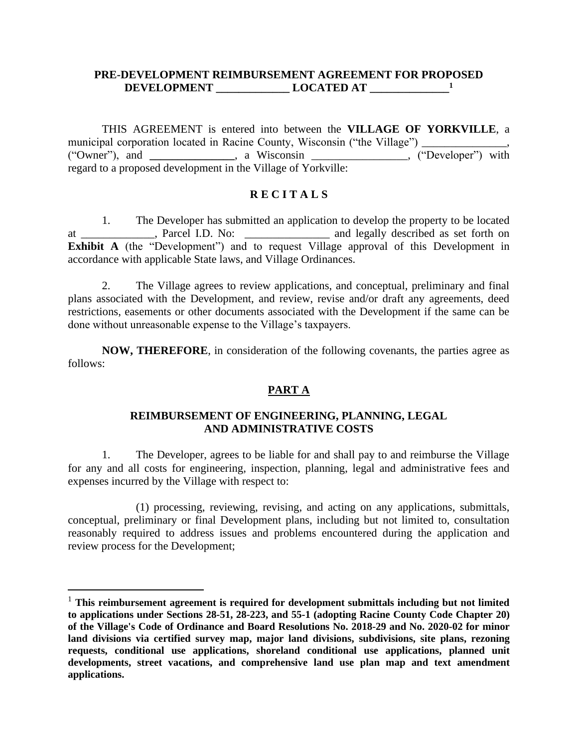## **PRE-DEVELOPMENT REIMBURSEMENT AGREEMENT FOR PROPOSED DEVELOPMENT \_\_\_\_\_\_\_\_\_\_\_\_\_ LOCATED AT \_\_\_\_\_\_\_\_\_\_\_\_\_\_ 1**

THIS AGREEMENT is entered into between the **VILLAGE OF YORKVILLE**, a municipal corporation located in Racine County, Wisconsin ("the Village") ("Owner"), and **\_\_\_\_\_\_\_\_\_\_\_\_\_\_\_**, a Wisconsin \_\_\_\_\_\_\_\_\_\_\_\_\_\_\_\_\_, ("Developer") with regard to a proposed development in the Village of Yorkville:

## **R E C I T A L S**

1. The Developer has submitted an application to develop the property to be located at \_\_\_\_\_\_\_\_\_\_\_\_\_, Parcel I.D. No: \_\_\_\_\_\_\_\_\_\_\_\_\_\_\_ and legally described as set forth on **Exhibit A** (the "Development") and to request Village approval of this Development in accordance with applicable State laws, and Village Ordinances.

2. The Village agrees to review applications, and conceptual, preliminary and final plans associated with the Development, and review, revise and/or draft any agreements, deed restrictions, easements or other documents associated with the Development if the same can be done without unreasonable expense to the Village's taxpayers.

**NOW, THEREFORE**, in consideration of the following covenants, the parties agree as follows:

## **PART A**

## **REIMBURSEMENT OF ENGINEERING, PLANNING, LEGAL AND ADMINISTRATIVE COSTS**

1. The Developer, agrees to be liable for and shall pay to and reimburse the Village for any and all costs for engineering, inspection, planning, legal and administrative fees and expenses incurred by the Village with respect to:

(1) processing, reviewing, revising, and acting on any applications, submittals, conceptual, preliminary or final Development plans, including but not limited to, consultation reasonably required to address issues and problems encountered during the application and review process for the Development;

<sup>&</sup>lt;sup>1</sup> This reimbursement agreement is required for development submittals including but not limited **to applications under Sections 28-51, 28-223, and 55-1 (adopting Racine County Code Chapter 20) of the Village's Code of Ordinance and Board Resolutions No. 2018-29 and No. 2020-02 for minor land divisions via certified survey map, major land divisions, subdivisions, site plans, rezoning requests, conditional use applications, shoreland conditional use applications, planned unit developments, street vacations, and comprehensive land use plan map and text amendment applications.**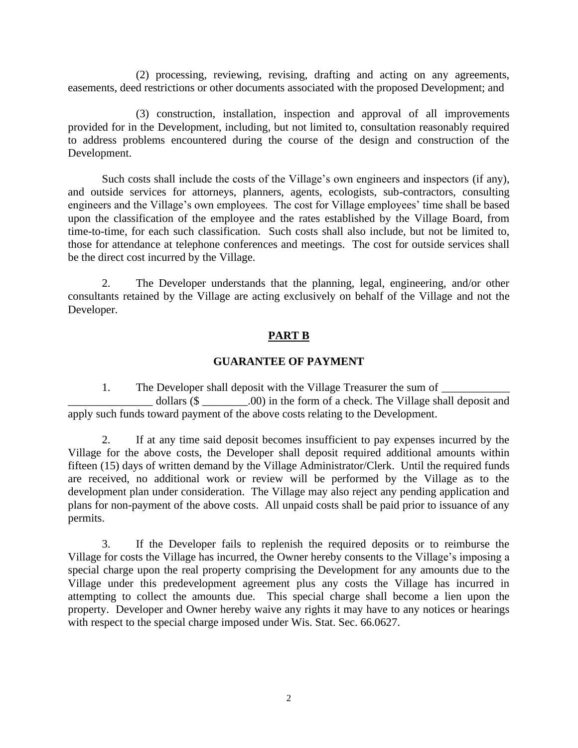(2) processing, reviewing, revising, drafting and acting on any agreements, easements, deed restrictions or other documents associated with the proposed Development; and

(3) construction, installation, inspection and approval of all improvements provided for in the Development, including, but not limited to, consultation reasonably required to address problems encountered during the course of the design and construction of the Development.

Such costs shall include the costs of the Village's own engineers and inspectors (if any), and outside services for attorneys, planners, agents, ecologists, sub-contractors, consulting engineers and the Village's own employees. The cost for Village employees' time shall be based upon the classification of the employee and the rates established by the Village Board, from time-to-time, for each such classification. Such costs shall also include, but not be limited to, those for attendance at telephone conferences and meetings. The cost for outside services shall be the direct cost incurred by the Village.

2. The Developer understands that the planning, legal, engineering, and/or other consultants retained by the Village are acting exclusively on behalf of the Village and not the Developer.

# **PART B**

# **GUARANTEE OF PAYMENT**

1. The Developer shall deposit with the Village Treasurer the sum of \_\_\_\_\_\_\_\_\_\_\_\_\_\_\_ dollars (\$ \_\_\_\_\_\_\_\_.00) in the form of a check. The Village shall deposit and apply such funds toward payment of the above costs relating to the Development.

2. If at any time said deposit becomes insufficient to pay expenses incurred by the Village for the above costs, the Developer shall deposit required additional amounts within fifteen (15) days of written demand by the Village Administrator/Clerk. Until the required funds are received, no additional work or review will be performed by the Village as to the development plan under consideration. The Village may also reject any pending application and plans for non-payment of the above costs. All unpaid costs shall be paid prior to issuance of any permits.

3. If the Developer fails to replenish the required deposits or to reimburse the Village for costs the Village has incurred, the Owner hereby consents to the Village's imposing a special charge upon the real property comprising the Development for any amounts due to the Village under this predevelopment agreement plus any costs the Village has incurred in attempting to collect the amounts due. This special charge shall become a lien upon the property. Developer and Owner hereby waive any rights it may have to any notices or hearings with respect to the special charge imposed under Wis. Stat. Sec. 66.0627.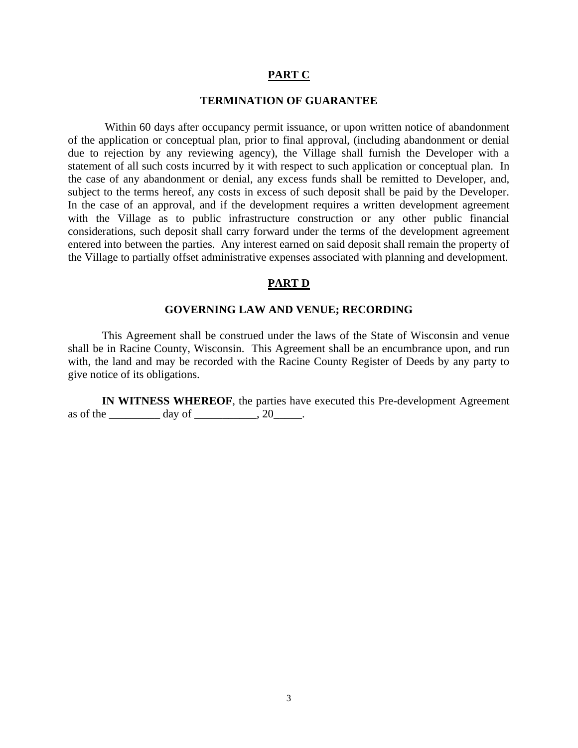### **PART C**

#### **TERMINATION OF GUARANTEE**

Within 60 days after occupancy permit issuance, or upon written notice of abandonment of the application or conceptual plan, prior to final approval, (including abandonment or denial due to rejection by any reviewing agency), the Village shall furnish the Developer with a statement of all such costs incurred by it with respect to such application or conceptual plan. In the case of any abandonment or denial, any excess funds shall be remitted to Developer, and, subject to the terms hereof, any costs in excess of such deposit shall be paid by the Developer. In the case of an approval, and if the development requires a written development agreement with the Village as to public infrastructure construction or any other public financial considerations, such deposit shall carry forward under the terms of the development agreement entered into between the parties. Any interest earned on said deposit shall remain the property of the Village to partially offset administrative expenses associated with planning and development.

### **PART D**

#### **GOVERNING LAW AND VENUE; RECORDING**

This Agreement shall be construed under the laws of the State of Wisconsin and venue shall be in Racine County, Wisconsin. This Agreement shall be an encumbrance upon, and run with, the land and may be recorded with the Racine County Register of Deeds by any party to give notice of its obligations.

**IN WITNESS WHEREOF**, the parties have executed this Pre-development Agreement as of the  $\_\_\_\_\_\$  day of  $\_\_\_\_\_\$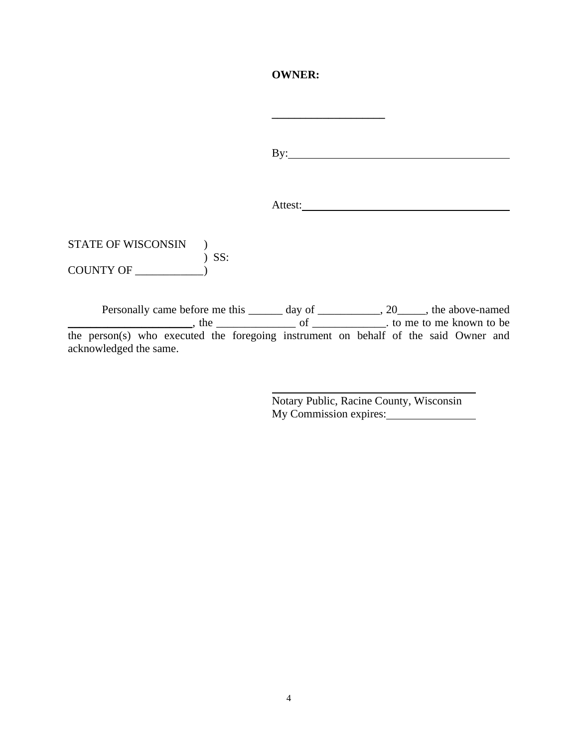### **OWNER:**

**\_\_\_\_\_\_\_\_\_\_\_\_\_\_\_\_\_\_\_\_**

By:

Attest:

STATE OF WISCONSIN ) ) SS: COUNTY OF \_\_\_\_\_\_\_\_\_\_\_\_)

Personally came before me this \_\_\_\_\_\_ day of \_\_\_\_\_\_\_\_\_\_, 20\_\_\_\_, the above-named The same of <u>the same of the same of the same set of the same set of the same set of the same set of the same set of the same set of the same set of the same set of the same set of the same set of the same set of the same </u> the person(s) who executed the foregoing instrument on behalf of the said Owner and acknowledged the same.

> Notary Public, Racine County, Wisconsin My Commission expires: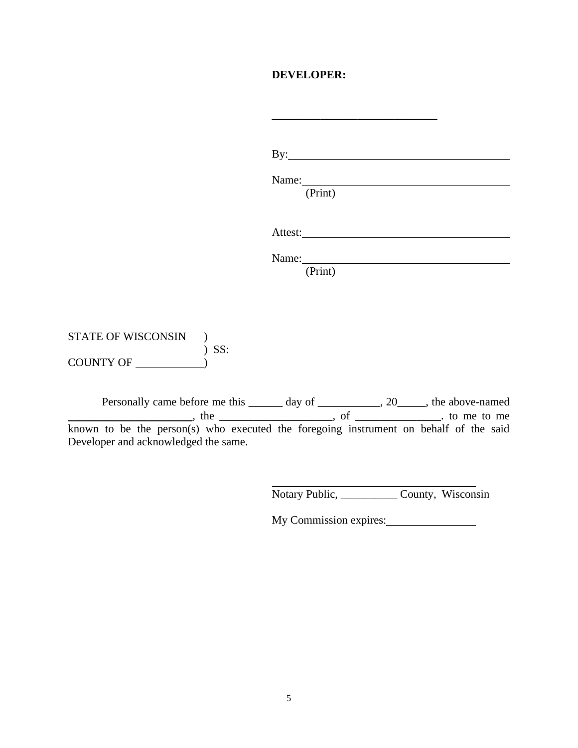# **DEVELOPER:**

**\_\_\_\_\_\_\_\_\_\_\_\_\_\_\_\_\_\_\_\_\_\_\_\_\_\_\_**

|                           | $\mathbf{By:}\_\_\_\_\_\_\_\_\_$                                                                                                                                                                                                          |  |
|---------------------------|-------------------------------------------------------------------------------------------------------------------------------------------------------------------------------------------------------------------------------------------|--|
|                           | Name: Name and the state of the state of the state of the state of the state of the state of the state of the state of the state of the state of the state of the state of the state of the state of the state of the state of<br>(Print) |  |
|                           |                                                                                                                                                                                                                                           |  |
|                           | Name: Name<br>(Print)                                                                                                                                                                                                                     |  |
|                           |                                                                                                                                                                                                                                           |  |
| STATE OF WISCONSIN<br>SS: |                                                                                                                                                                                                                                           |  |
| COUNTY OF (2)             |                                                                                                                                                                                                                                           |  |

Personally came before me this \_\_\_\_\_\_ day of \_\_\_\_\_\_\_\_\_\_, 20\_\_\_\_\_, the above-named  $\blacksquare$ , the  $\blacksquare$ , of  $\blacksquare$ , of  $\blacksquare$ , to me to me known to be the person(s) who executed the foregoing instrument on behalf of the said Developer and acknowledged the same.

Notary Public, \_\_\_\_\_\_\_\_\_\_ County, Wisconsin

My Commission expires: